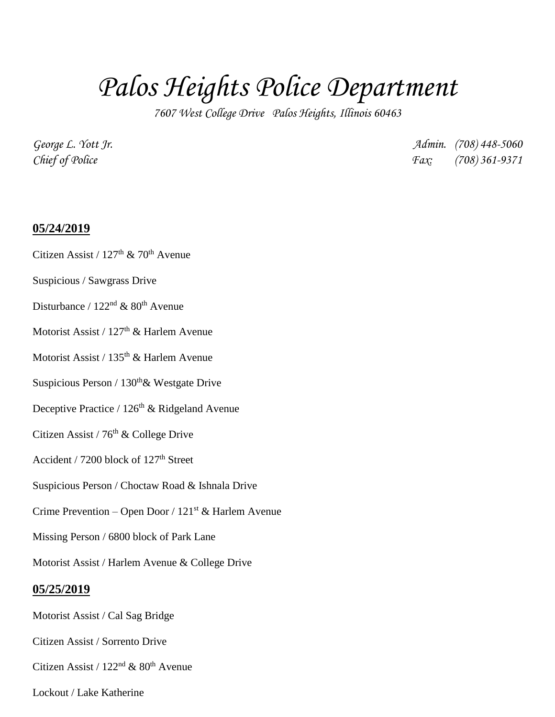# *Palos Heights Police Department*

*7607 West College Drive Palos Heights, Illinois 60463*

*George L. Yott Jr. Admin. (708) 448-5060 Chief of Police Fax: (708) 361-9371*

#### **05/24/2019**

- Citizen Assist /  $127<sup>th</sup>$  &  $70<sup>th</sup>$  Avenue
- Suspicious / Sawgrass Drive
- Disturbance /  $122<sup>nd</sup>$  &  $80<sup>th</sup>$  Avenue
- Motorist Assist / 127<sup>th</sup> & Harlem Avenue
- Motorist Assist / 135<sup>th</sup> & Harlem Avenue
- Suspicious Person / 130<sup>th</sup>& Westgate Drive
- Deceptive Practice /  $126<sup>th</sup>$  & Ridgeland Avenue
- Citizen Assist /  $76<sup>th</sup>$  & College Drive
- Accident / 7200 block of  $127<sup>th</sup>$  Street
- Suspicious Person / Choctaw Road & Ishnala Drive
- Crime Prevention Open Door /  $121<sup>st</sup>$  & Harlem Avenue
- Missing Person / 6800 block of Park Lane
- Motorist Assist / Harlem Avenue & College Drive

# **05/25/2019**

- Motorist Assist / Cal Sag Bridge
- Citizen Assist / Sorrento Drive
- Citizen Assist /  $122<sup>nd</sup>$  &  $80<sup>th</sup>$  Avenue
- Lockout / Lake Katherine